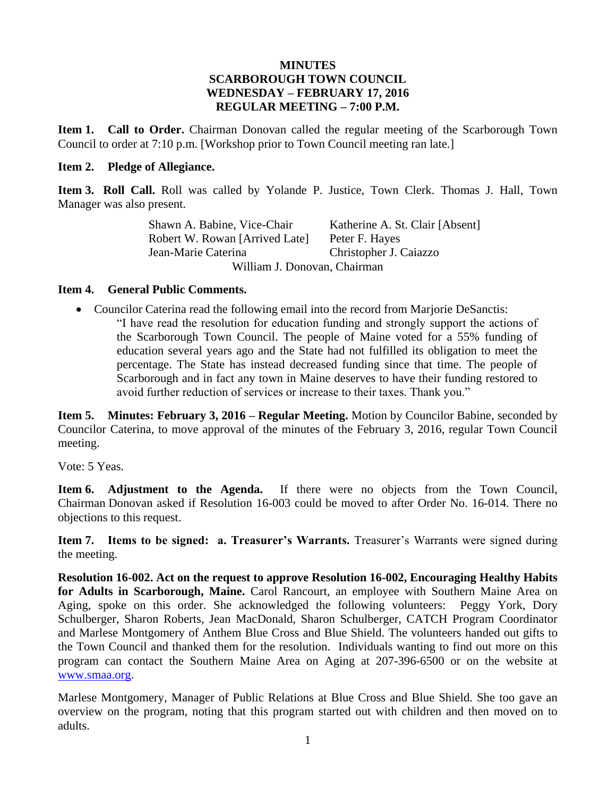#### **MINUTES SCARBOROUGH TOWN COUNCIL WEDNESDAY – FEBRUARY 17, 2016 REGULAR MEETING – 7:00 P.M.**

**Item 1. Call to Order.** Chairman Donovan called the regular meeting of the Scarborough Town Council to order at 7:10 p.m. [Workshop prior to Town Council meeting ran late.]

#### **Item 2. Pledge of Allegiance.**

**Item 3. Roll Call.** Roll was called by Yolande P. Justice, Town Clerk. Thomas J. Hall, Town Manager was also present.

> Shawn A. Babine, Vice-Chair Katherine A. St. Clair [Absent] Robert W. Rowan [Arrived Late] Peter F. Hayes Jean-Marie Caterina Christopher J. Caiazzo William J. Donovan, Chairman

#### **Item 4. General Public Comments.**

- Councilor Caterina read the following email into the record from Marjorie DeSanctis:
	- "I have read the resolution for education funding and strongly support the actions of the Scarborough Town Council. The people of Maine voted for a 55% funding of education several years ago and the State had not fulfilled its obligation to meet the percentage. The State has instead decreased funding since that time. The people of Scarborough and in fact any town in Maine deserves to have their funding restored to avoid further reduction of services or increase to their taxes. Thank you."

**Item 5. Minutes: February 3, 2016 – Regular Meeting.** Motion by Councilor Babine, seconded by Councilor Caterina, to move approval of the minutes of the February 3, 2016, regular Town Council meeting.

Vote: 5 Yeas.

**Item 6. Adjustment to the Agenda.** If there were no objects from the Town Council, Chairman Donovan asked if Resolution 16-003 could be moved to after Order No. 16-014. There no objections to this request.

**Item 7. Items to be signed: a. Treasurer's Warrants.** Treasurer's Warrants were signed during the meeting.

**Resolution 16-002. Act on the request to approve Resolution 16-002, Encouraging Healthy Habits for Adults in Scarborough, Maine.** Carol Rancourt, an employee with Southern Maine Area on Aging, spoke on this order. She acknowledged the following volunteers: Peggy York, Dory Schulberger, Sharon Roberts, Jean MacDonald, Sharon Schulberger, CATCH Program Coordinator and Marlese Montgomery of Anthem Blue Cross and Blue Shield. The volunteers handed out gifts to the Town Council and thanked them for the resolution. Individuals wanting to find out more on this program can contact the Southern Maine Area on Aging at 207-396-6500 or on the website at [www.smaa.org.](http://www.smaa.org/)

Marlese Montgomery, Manager of Public Relations at Blue Cross and Blue Shield. She too gave an overview on the program, noting that this program started out with children and then moved on to adults.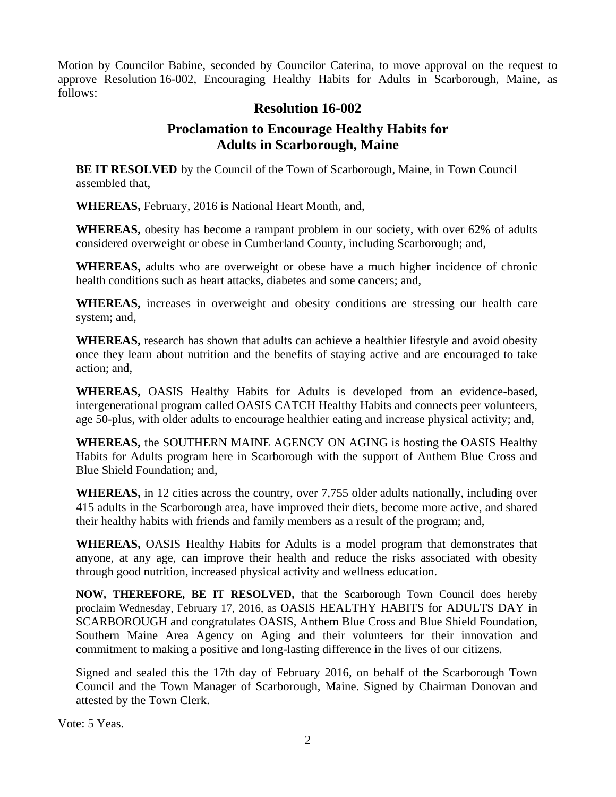Motion by Councilor Babine, seconded by Councilor Caterina, to move approval on the request to approve Resolution 16-002, Encouraging Healthy Habits for Adults in Scarborough, Maine, as follows:

## **Resolution 16-002**

## **Proclamation to Encourage Healthy Habits for Adults in Scarborough, Maine**

**BE IT RESOLVED** by the Council of the Town of Scarborough, Maine, in Town Council assembled that,

**WHEREAS,** February, 2016 is National Heart Month, and,

**WHEREAS,** obesity has become a rampant problem in our society, with over 62% of adults considered overweight or obese in Cumberland County, including Scarborough; and,

**WHEREAS,** adults who are overweight or obese have a much higher incidence of chronic health conditions such as heart attacks, diabetes and some cancers; and,

**WHEREAS,** increases in overweight and obesity conditions are stressing our health care system; and,

**WHEREAS,** research has shown that adults can achieve a healthier lifestyle and avoid obesity once they learn about nutrition and the benefits of staying active and are encouraged to take action; and,

**WHEREAS,** OASIS Healthy Habits for Adults is developed from an evidence-based, intergenerational program called OASIS CATCH Healthy Habits and connects peer volunteers, age 50-plus, with older adults to encourage healthier eating and increase physical activity; and,

**WHEREAS,** the SOUTHERN MAINE AGENCY ON AGING is hosting the OASIS Healthy Habits for Adults program here in Scarborough with the support of Anthem Blue Cross and Blue Shield Foundation; and,

**WHEREAS,** in 12 cities across the country, over 7,755 older adults nationally, including over 415 adults in the Scarborough area, have improved their diets, become more active, and shared their healthy habits with friends and family members as a result of the program; and,

**WHEREAS,** OASIS Healthy Habits for Adults is a model program that demonstrates that anyone, at any age, can improve their health and reduce the risks associated with obesity through good nutrition, increased physical activity and wellness education.

**NOW, THEREFORE, BE IT RESOLVED,** that the Scarborough Town Council does hereby proclaim Wednesday, February 17, 2016, as OASIS HEALTHY HABITS for ADULTS DAY in SCARBOROUGH and congratulates OASIS, Anthem Blue Cross and Blue Shield Foundation, Southern Maine Area Agency on Aging and their volunteers for their innovation and commitment to making a positive and long-lasting difference in the lives of our citizens.

Signed and sealed this the 17th day of February 2016, on behalf of the Scarborough Town Council and the Town Manager of Scarborough, Maine. Signed by Chairman Donovan and attested by the Town Clerk.

Vote: 5 Yeas.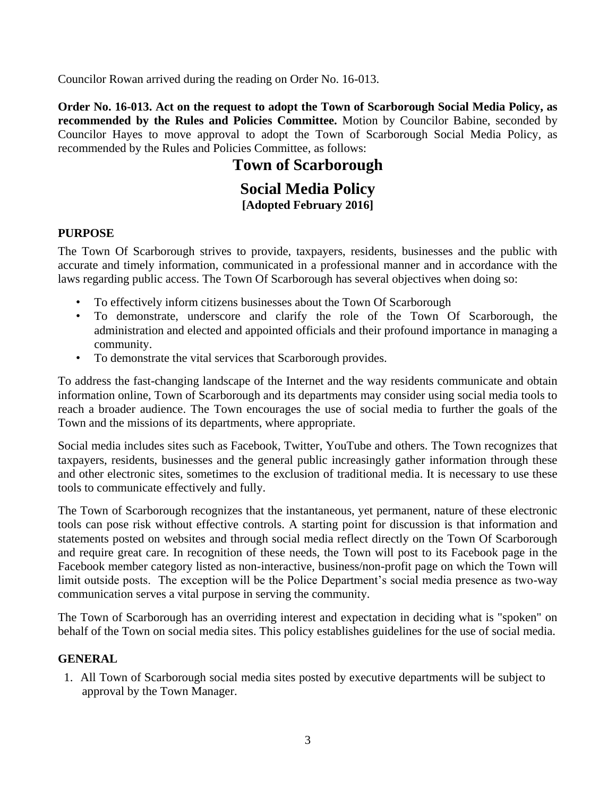Councilor Rowan arrived during the reading on Order No. 16-013.

**Order No. 16-013. Act on the request to adopt the Town of Scarborough Social Media Policy, as recommended by the Rules and Policies Committee.** Motion by Councilor Babine, seconded by Councilor Hayes to move approval to adopt the Town of Scarborough Social Media Policy, as recommended by the Rules and Policies Committee, as follows:

# **Town of Scarborough**

## **Social Media Policy [Adopted February 2016]**

### **PURPOSE**

The Town Of Scarborough strives to provide, taxpayers, residents, businesses and the public with accurate and timely information, communicated in a professional manner and in accordance with the laws regarding public access. The Town Of Scarborough has several objectives when doing so:

- To effectively inform citizens businesses about the Town Of Scarborough
- To demonstrate, underscore and clarify the role of the Town Of Scarborough, the administration and elected and appointed officials and their profound importance in managing a community.
- To demonstrate the vital services that Scarborough provides.

To address the fast-changing landscape of the Internet and the way residents communicate and obtain information online, Town of Scarborough and its departments may consider using social media tools to reach a broader audience. The Town encourages the use of social media to further the goals of the Town and the missions of its departments, where appropriate.

Social media includes sites such as Facebook, Twitter, YouTube and others. The Town recognizes that taxpayers, residents, businesses and the general public increasingly gather information through these and other electronic sites, sometimes to the exclusion of traditional media. It is necessary to use these tools to communicate effectively and fully.

The Town of Scarborough recognizes that the instantaneous, yet permanent, nature of these electronic tools can pose risk without effective controls. A starting point for discussion is that information and statements posted on websites and through social media reflect directly on the Town Of Scarborough and require great care. In recognition of these needs, the Town will post to its Facebook page in the Facebook member category listed as non-interactive, business/non-profit page on which the Town will limit outside posts. The exception will be the Police Department's social media presence as two-way communication serves a vital purpose in serving the community.

The Town of Scarborough has an overriding interest and expectation in deciding what is "spoken" on behalf of the Town on social media sites. This policy establishes guidelines for the use of social media.

### **GENERAL**

1. All Town of Scarborough social media sites posted by executive departments will be subject to approval by the Town Manager.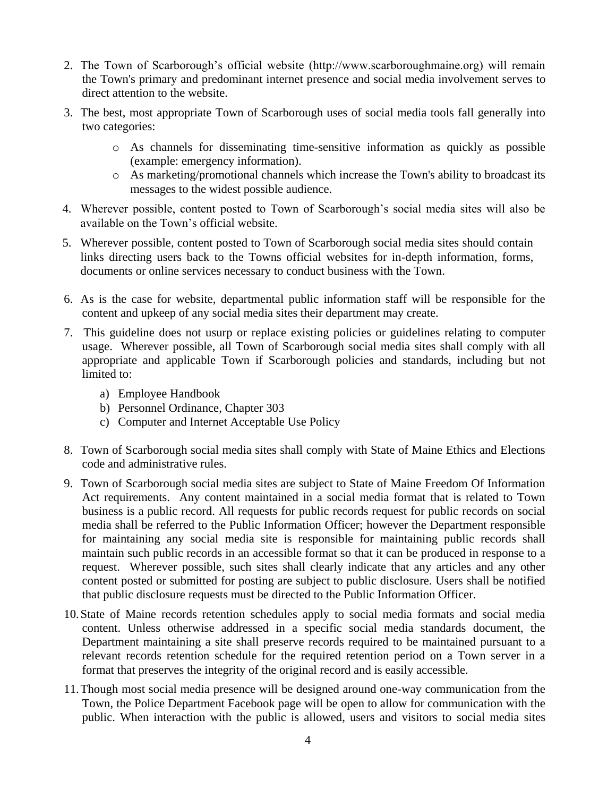- 2. The Town of Scarborough's official website (http://www.scarboroughmaine.org) will remain the Town's primary and predominant internet presence and social media involvement serves to direct attention to the website.
- 3. The best, most appropriate Town of Scarborough uses of social media tools fall generally into two categories:
	- o As channels for disseminating time-sensitive information as quickly as possible (example: emergency information).
	- o As marketing/promotional channels which increase the Town's ability to broadcast its messages to the widest possible audience.
- 4. Wherever possible, content posted to Town of Scarborough's social media sites will also be available on the Town's official website.
- 5. Wherever possible, content posted to Town of Scarborough social media sites should contain links directing users back to the Towns official websites for in-depth information, forms, documents or online services necessary to conduct business with the Town.
- 6. As is the case for website, departmental public information staff will be responsible for the content and upkeep of any social media sites their department may create.
- 7. This guideline does not usurp or replace existing policies or guidelines relating to computer usage. Wherever possible, all Town of Scarborough social media sites shall comply with all appropriate and applicable Town if Scarborough policies and standards, including but not limited to:
	- a) Employee Handbook
	- b) Personnel Ordinance, Chapter 303
	- c) [Computer and Internet Acceptable Use Policy](http://www.seattle.gov/pan/internetuse.htm)
- 8. Town of Scarborough social media sites shall comply with State of Maine Ethics and Elections code and administrative rules.
- 9. Town of Scarborough social media sites are subject to State of Maine Freedom Of Information Act requirements. Any content maintained in a social media format that is related to Town business is a public record. All requests for public records request for public records on social media shall be referred to the Public Information Officer; however the Department responsible for maintaining any social media site is responsible for maintaining public records shall maintain such public records in an accessible format so that it can be produced in response to a request. Wherever possible, such sites shall clearly indicate that any articles and any other content posted or submitted for posting are subject to public disclosure. Users shall be notified that public disclosure requests must be directed to the Public Information Officer.
- 10.State of Maine records retention schedules apply to social media formats and social media content. Unless otherwise addressed in a specific social media standards document, the Department maintaining a site shall preserve records required to be maintained pursuant to a relevant records retention schedule for the required retention period on a Town server in a format that preserves the integrity of the original record and is easily accessible.
- 11.Though most social media presence will be designed around one-way communication from the Town, the Police Department Facebook page will be open to allow for communication with the public. When interaction with the public is allowed, users and visitors to social media sites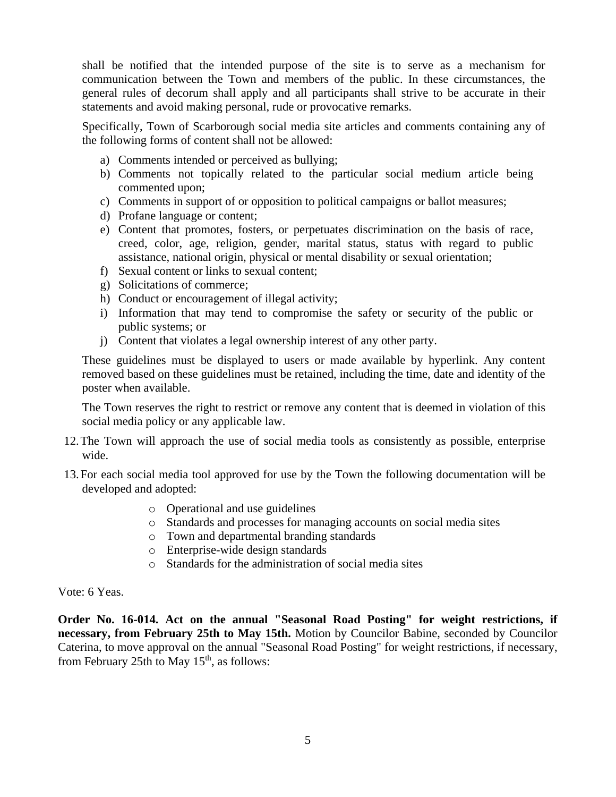shall be notified that the intended purpose of the site is to serve as a mechanism for communication between the Town and members of the public. In these circumstances, the general rules of decorum shall apply and all participants shall strive to be accurate in their statements and avoid making personal, rude or provocative remarks.

Specifically, Town of Scarborough social media site articles and comments containing any of the following forms of content shall not be allowed:

- a) Comments intended or perceived as bullying;
- b) Comments not topically related to the particular social medium article being commented upon;
- c) Comments in support of or opposition to political campaigns or ballot measures;
- d) Profane language or content;
- e) Content that promotes, fosters, or perpetuates discrimination on the basis of race, creed, color, age, religion, gender, marital status, status with regard to public assistance, national origin, physical or mental disability or sexual orientation;
- f) Sexual content or links to sexual content;
- g) Solicitations of commerce;
- h) Conduct or encouragement of illegal activity;
- i) Information that may tend to compromise the safety or security of the public or public systems; or
- j) Content that violates a legal ownership interest of any other party.

These guidelines must be displayed to users or made available by hyperlink. Any content removed based on these guidelines must be retained, including the time, date and identity of the poster when available.

The Town reserves the right to restrict or remove any content that is deemed in violation of this social media policy or any applicable law.

- 12.The Town will approach the use of social media tools as consistently as possible, enterprise wide.
- 13.For each social media tool approved for use by the Town the following documentation will be developed and adopted:
	- o Operational and use guidelines
	- o Standards and processes for managing accounts on social media sites
	- o Town and departmental branding standards
	- o Enterprise-wide design standards
	- o Standards for the administration of social media sites

#### Vote: 6 Yeas.

**Order No. 16-014. Act on the annual "Seasonal Road Posting" for weight restrictions, if necessary, from February 25th to May 15th.** Motion by Councilor Babine, seconded by Councilor Caterina, to move approval on the annual "Seasonal Road Posting" for weight restrictions, if necessary, from February 25th to May  $15<sup>th</sup>$ , as follows: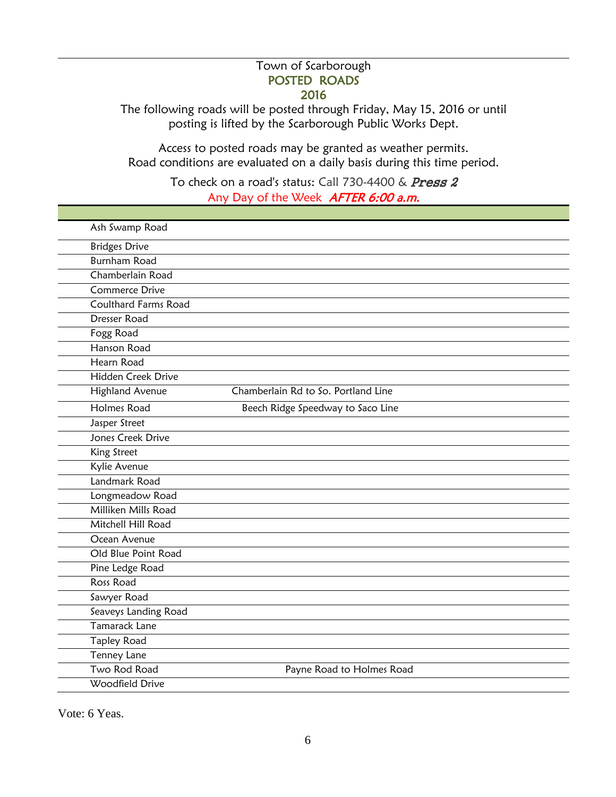### Town of Scarborough POSTED ROADS 2016

The following roads will be posted through Friday, May 15, 2016 or until posting is lifted by the Scarborough Public Works Dept.

Access to posted roads may be granted as weather permits. Road conditions are evaluated on a daily basis during this time period.

> To check on a road's status: Call 730-4400 & Press 2 Any Day of the Week AFTER 6:00 a.m.

| Ash Swamp Road              |                                     |
|-----------------------------|-------------------------------------|
| <b>Bridges Drive</b>        |                                     |
| <b>Burnham Road</b>         |                                     |
| Chamberlain Road            |                                     |
| <b>Commerce Drive</b>       |                                     |
| <b>Coulthard Farms Road</b> |                                     |
| Dresser Road                |                                     |
| Fogg Road                   |                                     |
| Hanson Road                 |                                     |
| <b>Hearn Road</b>           |                                     |
| Hidden Creek Drive          |                                     |
| <b>Highland Avenue</b>      | Chamberlain Rd to So. Portland Line |
| <b>Holmes Road</b>          | Beech Ridge Speedway to Saco Line   |
| Jasper Street               |                                     |
| Jones Creek Drive           |                                     |
| King Street                 |                                     |
| Kylie Avenue                |                                     |
| Landmark Road               |                                     |
| Longmeadow Road             |                                     |
| Milliken Mills Road         |                                     |
| Mitchell Hill Road          |                                     |
| Ocean Avenue                |                                     |
| Old Blue Point Road         |                                     |
| Pine Ledge Road             |                                     |
| Ross Road                   |                                     |
| Sawyer Road                 |                                     |
| Seaveys Landing Road        |                                     |
| Tamarack Lane               |                                     |
| <b>Tapley Road</b>          |                                     |
| Tenney Lane                 |                                     |
| Two Rod Road                | Payne Road to Holmes Road           |
| Woodfield Drive             |                                     |

Vote: 6 Yeas.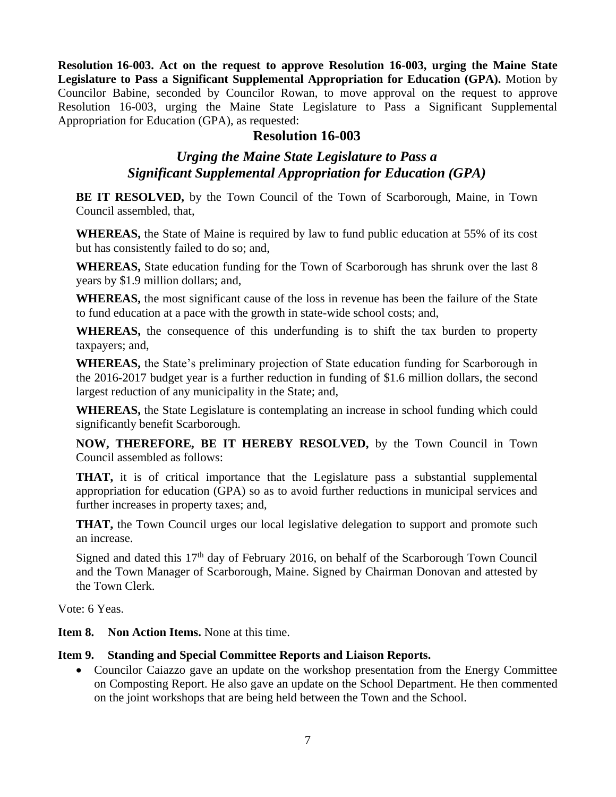**Resolution 16-003. Act on the request to approve Resolution 16-003, urging the Maine State Legislature to Pass a Significant Supplemental Appropriation for Education (GPA).** Motion by Councilor Babine, seconded by Councilor Rowan, to move approval on the request to approve Resolution 16-003, urging the Maine State Legislature to Pass a Significant Supplemental Appropriation for Education (GPA), as requested:

### **Resolution 16-003**

### *Urging the Maine State Legislature to Pass a Significant Supplemental Appropriation for Education (GPA)*

**BE IT RESOLVED,** by the Town Council of the Town of Scarborough, Maine, in Town Council assembled, that,

**WHEREAS,** the State of Maine is required by law to fund public education at 55% of its cost but has consistently failed to do so; and,

**WHEREAS,** State education funding for the Town of Scarborough has shrunk over the last 8 years by \$1.9 million dollars; and,

**WHEREAS,** the most significant cause of the loss in revenue has been the failure of the State to fund education at a pace with the growth in state-wide school costs; and,

**WHEREAS,** the consequence of this underfunding is to shift the tax burden to property taxpayers; and,

**WHEREAS,** the State's preliminary projection of State education funding for Scarborough in the 2016-2017 budget year is a further reduction in funding of \$1.6 million dollars, the second largest reduction of any municipality in the State; and,

**WHEREAS,** the State Legislature is contemplating an increase in school funding which could significantly benefit Scarborough.

**NOW, THEREFORE, BE IT HEREBY RESOLVED,** by the Town Council in Town Council assembled as follows:

**THAT,** it is of critical importance that the Legislature pass a substantial supplemental appropriation for education (GPA) so as to avoid further reductions in municipal services and further increases in property taxes; and,

**THAT,** the Town Council urges our local legislative delegation to support and promote such an increase.

Signed and dated this  $17<sup>th</sup>$  day of February 2016, on behalf of the Scarborough Town Council and the Town Manager of Scarborough, Maine. Signed by Chairman Donovan and attested by the Town Clerk.

Vote: 6 Yeas.

**Item 8. Non Action Items.** None at this time.

### **Item 9. Standing and Special Committee Reports and Liaison Reports.**

• Councilor Caiazzo gave an update on the workshop presentation from the Energy Committee on Composting Report. He also gave an update on the School Department. He then commented on the joint workshops that are being held between the Town and the School.